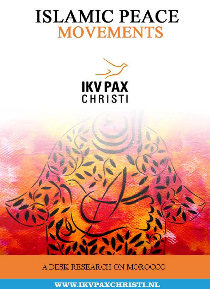# **ISLAMIC PEACE MOVEMENTS**





A DESK RESEARCH ON MOROCCO

**WWW.IKVPAXCHRISTI.NL**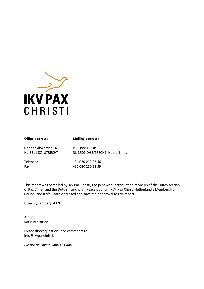

| <b>Office address:</b> |  |
|------------------------|--|
|                        |  |

#### office and Mailing address:

Godebaldkwartier 74 P.O. Box 19318 NL-3511 DZ UTRECHT NL-3501 DH UTRECHT, Netherlands

| Telephone: | +31 030 233 33 46 |
|------------|-------------------|
| Fax:       | +31 030 236 81 99 |

This report was compiled by IKV Pax Christi, the joint work organisation made up of the Dutch section of Pax Christi and the Dutch Interchurch Peace Council (IKV). Pax Christi Netherland's Membership Council and IKV's Board discussed and gave their approval to this report.

Utrecht, February 2009

Author: Karin Austmann

Please direct questions and comments to: info@ikvpaxchristi.nl

Picture on cover: Gabri Le Cabri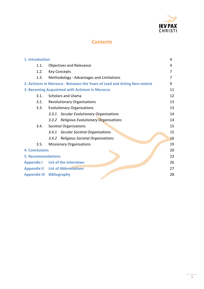

# **Contents**

| 1. Introduction           |                                                                           | 4  |
|---------------------------|---------------------------------------------------------------------------|----|
| 1.1.                      | <b>Objectives and Relevance</b>                                           |    |
| 1.2.                      | <b>Key Concepts</b><br>7                                                  |    |
| 1.3.                      | Methodology - Advantages and Limitations<br>7                             |    |
|                           | 2. Activism in Morocco - Between the Years of Lead and Acting Non-violent | 9  |
|                           | 3. Becoming Acquainted with Activism in Morocco                           | 11 |
| 3.1.                      | <b>Scholars and Ulama</b><br>12                                           |    |
| 3.2.                      | 13<br><b>Revolutionary Organisations</b>                                  |    |
| 3.3.                      | 13<br><b>Evolutionary Organisations</b>                                   |    |
|                           | 3.3.1 Secular Evolutionary Organisations                                  | 14 |
|                           | Religious Evolutionary Organisations<br>3.3.2                             | 14 |
| 3.4.                      | <b>Societal Organisations</b>                                             | 15 |
|                           | 3.4.1 Secular Societal Organisations                                      | 15 |
|                           | 3.4.2 Religious Societal Organisations                                    | 16 |
| 3.5.                      | <b>Missionary Organisations</b>                                           | 19 |
| <b>4. Conclusions</b>     |                                                                           | 20 |
| <b>5. Recommendations</b> |                                                                           | 23 |
|                           | <b>Appendix I</b> List of the interviews                                  | 26 |
|                           | <b>Appendix II List of Abbreviations</b>                                  |    |
| <b>Appendix III</b>       | <b>Bibliography</b>                                                       | 28 |
|                           |                                                                           |    |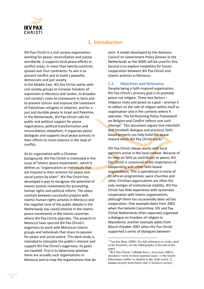

# 1. Introduction

IKV Pax Christi is a civil society organisation working for peace, reconciliation and justice worldwide. It supports local peace efforts in conflict areas, in more than twenty countries spread over four continents. Its aim is to prevent conflict and to build a peaceful, democratic and just society.

In the Middle East, IKV Pax Christi works with civil society groups to increase freedom of expression in Morocco and Jordan, to broaden civil society's room to manoeuvre in Syria and to prevent torture and improve the treatment of Palestinian refugees in Lebanon, and for a just and durable peace in Israel and Palestine. In the Netherlands, IKV Pax Christi calls for public and political support for peace negotiations, political transformation and reconciliation; elsewhere, it organises peace dialogues and supports local peace activists in their efforts to resist violence in the heat of conflict.

As an organisation with a Christian background, IKV Pax Christi is interested in the issue of 'Islamic peace movements', which it defines as "organisations or individuals that are inspired in their activism for peace and social justice by Islam". IKV Pax Christi has developed a way to recognise the potential of Islamic activist movements for promoting, human rights and political reform. The sharp contrast between successful projects with Islamic human rights activists in Morocco and the negative tone of the public debate in the Netherlands has raised interest in the Islamic peace movements in the Islamic countries where IKV Pax Christi operates. The projects in Morocco have spurred IKV Pax Christi's eagerness to work with Moroccan Islamic groups and individuals that share its passion for peace and social justice. This desk-study is intended to stimulate the public's interest and support IKV Pax Christi's eagerness. Its goals are twofold. First is to determine whether there are actually such organisations in Morocco and to map the organisations that do exist. A model developed by the Advisory Council on Government Policy (known in the Netherlands as the WRR) will be used for this. Second is to explore modalities for future cooperation between IKV Pax Christi and Islamic activists in Morocco.

## 1.1. Objectives and Relevance

Despite being a faith-inspired organisation, IKV Pax Christi's primary goal is to promote peace not religion. These two factors – religious roots and peace as a goal – prompt it to reflect on the role of religion within itself as organisation and in the contexts where it operates. The forthcoming Policy Framework on Religion and Conflict reflects one such attempt<sup>1</sup>. This document argues that interfaith and intrafaith dialogue and practical, faithbased projects can help build the peace toward which IKV Pax Christi works<sup>2</sup>.

IKV Pax Christi always works with local partners active in the local context. Because of its view on faith as contributor to peace, IKV Pax Christi is convinced of the importance of cooperating with other faith-based organisations. This is operational in many of its African programmes, were churches and other Christian organisations are often the only vestiges of institutional stability. IKV Pax Christi has little experience with systematic cooperation with Islamic organisations, although there has occasionally been ad hoc cooperation. One example dates from 2003 when the Helsinki Committee, IKV and Pax Christi Netherlands (then separate) organised a dialogue on freedom of religion in Macedonia; another example dates from March-October 2007 when IKV Pax Christi supported a series of dialogues between

<sup>&</sup>lt;sup>1</sup> Van den Berg (2008). For full references to works cited in the footnotes, see the bibliography at the end of this paper.<br><sup>2</sup> IKV 1

IKV Pax Christi 's Middle East + Asia team (MEA) decided to work on three regional issues: 1) the Israeli-Palestinian conflict in relation to the Arab world, 2) human security from below and 3) inclusive society.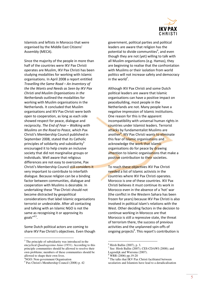

Islamists and leftists in Morocco that were organised by the Middle East Citizens' Assembly (MECA).

Since the majority of the people in more than half of the countries were IKV Pax Christi operates are Muslim, IKV Pax Christi has been studying modalities for working with Islamic organisations. In April 2008 a report entitled Travelling the Same Road – An Inventory of the the Wants and Needs as Seen by IKV Pax Christi and Muslim Organisations in the Netherlands outlined the modalities for working with Muslim organisations in the Netherlands. It concluded that Muslim organisations and IKV Pax Christi were both open to cooperation, as long as each side showed respect for peace, dialogue and reciprocity. The End of Fear – Walking with Muslims on the Road to Peace, which Pax Christi's Membership Council published in September 2008, stated that its Catholic principles of solidarity and subsidiarity<sup>3</sup> encouraged it to help create an inclusive society that did not marginalise groups or individuals. Well aware that religious differences are not easy to overcome, Pax Christi's Membership Council still considers it very important to contribute to interfaith dialogue. Because religion can be a binding factor between communities, dialogue and cooperation with Muslims is desirable. In undertaking these "Pax Christi should not become distracted by geopolitical considerations that label Islamic organisations terrorist or undesirable. After all contacting and talking with an Islamic NGO is not the same as recognising it or approving its goals"4,5 .

Some Dutch political actors are coming to share IKV Pax Christi's objectives. Even though government, political parties and political leaders are aware that religion has the potential to divide communities $^6$ , and even though they are not (yet) willing to talk with all Muslim organisations (e.g. Hamas), they are beginning to realise that the confrontation with Muslims or their isolation from world politics will not increase safety and democracy in the world<sup>7</sup>.

Although IKV Pax Christi and some Dutch political leaders are aware that Islamic organisations can have a positive impact on peacebuilding, most people in the Netherlands are not. Many people have a negative impression of Islamic institutions. One reason for this is the apparent incompatibility with universal human rights in countries under Islamist leaders. Terrorist attacks by fundamentalist Muslims are another<sup>8</sup>. IKV Pax Christi wants to eliminate this fear of Islamic organisations and acknowledge the work that Islamic organisations do for peace by drawing attention to Islamic organisations that make a positive contribution to their societies.

To reach these objectives IKV Pax Christi needed a list of Islamic activists in the countries where IKV Pax Christi operates. Morocco is one of these countries. IKV Pax Christi believes it must continue its work in Morocco even in the absence of a 'hot' war (the conflict in the Western Sahara has been frozen for years) because IKV Pax Christi is also involved in political Islam's relations with the West. Other deciding factors in the decision to continue working in Morocco are that Morocco is still a repressive state, the threat of terrorism there, the success of previous activities and the unplanned spin-offs of ongoing projects<sup>9</sup>. This report's contribution is

<sup>&</sup>lt;sup>3</sup> The principle of subsidiarity was introduced in the encyclical *Quadragesimo Anno* (1931). According to this principle communities should be allowed to resolve their own problems; members of these communities should be allowed to shape their own lives.

<sup>&</sup>lt;sup>4</sup>NGO: Non-government Organisation

<sup>5</sup> Pax Christi's Membership Council (2008) p. 42

<sup>6</sup> Hirsh Ballin (2007), p. 3.

 $7$  See: Hirsh Ballin (2007); CES-CDAWI (2008); and Lagendijk and Wiersma (2007).

<sup>8</sup> WRR (2006) pp.19-20

<sup>&</sup>lt;sup>9</sup> The talks that IKV Pax Christi facilitated between secularists and Islamists have lead to a deradicalisation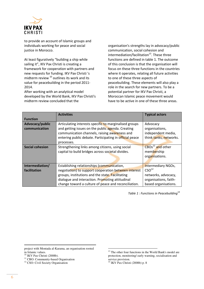

to provide an account of Islamic groups and individuals working for peace and social justice in Morocco.

At least figuratively "building a ship while sailing it", IKV Pax Christi is creating a framework for cooperation with partners and new requests for funding. IKV Pax Christi 's midterm review <sup>10</sup> outlines its work and its value for peacebuilding in the period 2011- 2014.

After working with an analytical model developed by the World Bank, IKV Pax Christi's midterm review concluded that the

organisation's strengths lay in advocacy/public communication, social cohesion and  $intermediation/facilitation<sup>13</sup>$ . These three functions are defined in table 1. The outcome of this conclusion is that the organisation will focus on these three functions in the countries where it operates, relating all future activities to one of these three aspects of peacebuilding. These elements will also play a role in the search for new partners. To be a potential partner for IKV Pax Christi, a Moroccan Islamic peace movement would have to be active in one of these three areas.

|                        | <b>Activities</b>                                       | <b>Typical actors</b>  |
|------------------------|---------------------------------------------------------|------------------------|
| <b>Function</b>        |                                                         |                        |
| Advocacy/public        | Articulating interests specific to marginalised groups  | Advocacy               |
| communication          | and getting issues on the public agenda. Creating       | organisations,         |
|                        | communication channels, raising awareness and           | independent media,     |
|                        | entering public debate. Participating in official peace | think tanks, networks. |
|                        | processes.                                              |                        |
| <b>Social cohesion</b> | Strengthening links among citizens, using social        | $CBOs11$ and other     |
|                        | capital to build bridges across societal divides.       | membership             |
|                        |                                                         | organisations.         |
|                        |                                                         |                        |
| Intermediation/        | Establishing relationships (communication,              | Intermediary NGOs,     |
| facilitation           | negotiation) to support cooperation between interest    | CSO <sup>12</sup>      |
|                        | groups, institutions and the state. Facilitating        | networks, advocacy,    |
|                        | dialogue and interaction. Promoting attitudinal         | organisations, faith-  |
|                        | change toward a culture of peace and reconciliation.    | based organisations.   |

Table 1 : Functions in Peacebuilding<sup>14</sup>

project with Montada al-Karama, an organisation rooted in Islamic values.

-

<sup>11</sup> CBO: Community-based Organisation

<sup>10</sup> IKV Pax Christi (2008b).

<sup>&</sup>lt;sup>12</sup> CSO: Civil Society Organisation

 $\overline{a}$ <sup>13</sup> The other four functions in the World Bank's model are protection, monitoring/ early warning, socialisation and service provision.

<sup>14</sup> IKV Pax Christi (2008b) p. 8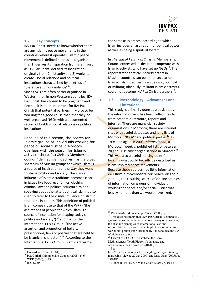

## 1.2. Key Concepts

IKV Pax Christi needs to know whether there are any Islamic peace movements in the countries where it operates. Islamic peace movement is defined here as an organisation that 1) derives its inspiration from Islam, just as IKV Pax Christi derived its inspiration originally from Christianity and 2) works to create "social relations and political institutions characterised by an ethos of tolerance and non-violence"<sup>15</sup>. Since CSOs are often better organised in Western than in non-Western countries, IKV Pax Christi has chosen to be pragmatic and flexible; it is more important for IKV Pax Christi that potential partners in Morocco be working for a good cause than that they be well-organised NGOs with a documented record of building social relations or political institutions.

Because of this reason, the search for Islamic groups or individuals working for peace or social justice in Morocco overlaps with the search for Islamic activism there. Pax Christi's Membership Council<sup>16</sup> defined Islamic activism as the broad spectrum of Muslim groups for which Islam is a source of inspiration for the way they want to shape politics and society. The visible influence of Islamic traditions becomes clear in issues like food, economics, clothing, criminal law and political structure. When speaking about the latter, political Islam is also used to refer to the visible influence of Islamic traditions in politics. This definition of political Islam comes close to that of the WRR ("the aspirations of people for which Islam is a source of inspiration for shaping today's politics and society")<sup>17</sup> and that of the International Crisis Group ("the active assertion and promotion of beliefs, prescriptions, laws or policies that are held to be Islamic in character")<sup>18</sup>. According to the International Crisis Group, Islamic activism is

the same as Islamism, according to which Islam includes an aspiration for political power as well as being a spiritual system.

In The End of Fear, Pax Christi's Membership Council expressed its desire to cooperate with Islamic activists who have set up  $NGOs<sup>19</sup>$ . The report stated that civil society actors in Muslim countries can be either secular or Islamic. Islamic activism can be civic, political or militant; obviously, militant Islamic activists could not become IKV Pax Christi partners<sup>20</sup>.

# 1.3. 1.3. Methodology – Advantages and Limitations

This study is primarily done as a desk-study; the information in it has been culled mainly from academic literature, reports and internet. There are many civil society organisations in Morocco; there are internet sites with useful databases and long lists of Moroccan  $NGOs<sup>21</sup>$  and political parties<sup>22</sup>. In 1994 and again in 2003, Maroc Hebdo, a Moroccan weekly; published lists of between 20 and 30 Islamist organisations in Morocco<sup>23</sup>. This was also a useful starting point for locating what could broadly be described as Islam-inspired peace movements. Because these sources had little information on Islamic movements for peace or social justice, the resulting search of on-line sources of information on groups or individuals working for peace and/or social justice was less systematic than we would have liked.

 $\overline{a}$  $15$  Coward and Smith (2004), p. 5

<sup>16</sup> Pax Christi's Membership Council (2008), p. 6

<sup>17</sup> WRR (2006), p. 23.

 $18$  ICG (2005).

<sup>19</sup> Pax Christi's Membership Council (2008), p. 38.

<sup>&</sup>lt;sup>20</sup> This does not imply that IKV Pax Christi is completely against the use of violence. Catholic theory on a just war, the absolute principles of international law, the responsibility to protect and an implicit notion of a just war do not permit Pax Christi or IKV to renounce the use of violence a priori.

<sup>&</sup>lt;sup>21</sup> I searched ECOSOC's database, the Euro-Mediterranean Youth Platform's database and www.tanmia.ma (viewed on 7/01/09).

 $22$  See

http://fr.wikipedia.org/wiki/Liste\_des\_partis\_politiques\_ marocains (viewed 27 Jan 2009) and Lust-Okar (2005), p. 178-186.

<sup>23</sup> Manzour (1994), p. 8-9 and Chadi (2003), p. 10-12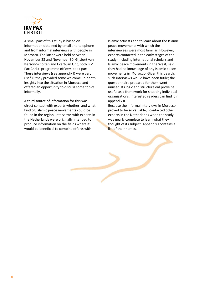

A small part of this study is based on information obtained by email and telephone and from informal interviews with people in Morocco. The latter were held between November 28 and November 30. Gijsbert van Iterson-Scholten and Evert-Jan Grit, both IKV Pax Christi programme officers, took part. These interviews (see appendix I) were very useful; they provided some welcome, in-depth insights into the situation in Morocco and offered an opportunity to discuss some topics informally.

A third source of information for this was direct contact with experts whether, and what kind of, Islamic peace movements could be found in the region. Interviews with experts in the Netherlands were originally intended to produce information on the fields where it would be beneficial to combine efforts with

Islamic activists and to learn about the Islamic peace movements with which the interviewees were most familiar. However, experts contacted in the early stages of the study (including international scholars and Islamic peace movements in the West) said they had no knowledge of any Islamic peace movements in Morocco. Given this dearth, such interviews would have been futile; the questionnaire prepared for them went unused. Its logic and structure did prove be useful as a framework for situating individual organisations. Interested readers can find it in appendix II.

Because the informal interviews in Morocco proved to be so valuable, I contacted other experts in the Netherlands when the study was nearly complete to learn what they thought of its subject. Appendix I contains a list of their names.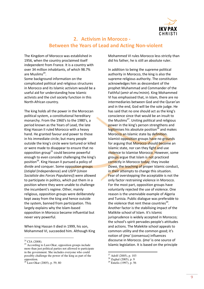

# 2. Activism in Morocco - Between the Years of Lead and Acting Non-violent

The Kingdom of Morocco was established in 1956, when the country proclaimed itself independent from France. It is a country with over 34 million inhabitants, of which 98.7% are Muslims<sup>24</sup>.

Some background information on the complicated political and religious structures in Morocco and its Islamic activism would be a useful aid for understanding how Islamic activists and the civil society function in this North-African country.

The king holds all the power in the Moroccan political system, a constitutional hereditary monarchy. From the 1960's to the 1980's, a period known as the Years of Lead, the late King Hassan II ruled Morocco with a heavy hand. He granted favour and power to those in his immediate circle; but many people outside the king's circle were tortured or killed or were made to disappear to ensure that no opposition group<sup>25</sup> could become powerful enough to even consider challenging the king's position<sup>26</sup>. King Hassan II pursued a policy of divide and conquer. Some opposition groups (Istiqlal (Independence) and USFP (Union Socialiste des Forces Populaires)) were allowed to participate in politics, which put them in a position where they were unable to challenge the incumbent's regime. Other, mainly religious, opposition groups were deliberately kept away from the king and hence outside the system, banned from participation. This largely explains why the Islam-based opposition in Morocco became influential but never very powerful.

When king Hassan II died in 1999, his son, Mohammed VI, succeeded him. Although King

 $\overline{a}$ 

Mohammed VI rules Morocco less strictly than did his father, he is still an absolute ruler.

In addition to being the supreme political authority in Morocco, the king is also the supreme religious authority. The constitution acknowledges him as descendant of the prophet Muhammad and Commander of the Faithful (amir al-mu'minin). King Mohammed VI has emphasised that, in Islam, there are no intermediaries between God and the Quran'an and in the end, God will be the sole judge. He has said that no one should act as the king's conscience since that would be an insult to the Muslims<sup>27</sup>. Uniting political and religious power in the king's person strengthens and legitimises his absolute position $^{28}$  and makes Morocco an Islamic state by definition. Islamist opposition groups have no grounds for arguing that Morocco should become an Islamic state, nor can they fight and use violence to Islamise Morocco. However, some groups argue that Islam is not practiced correctly in Morocco today; they invoke Dawa, the teaching of proper Islamic conduct, in their attempts to change this situation. Fear of overstepping the acceptable is not the only factor restraining violence in Morocco. For the most part, opposition groups have voluntarily rejected the use of violence. One reason is the unenviable example of Algeria and Tunisia. Public dialogue was preferable to the violence that rent these countries<sup>29</sup>. Another factor is the stabilising impact of the Malikite school of Islam. It's Islamic jurisprudence is widely accepted in Morocco; the school's spirit pervades people's attitudes and actions. The Malekite school appeals to common utility and the common good; it's notion of ijma' (consensus) influences discourse in Morocco. Ijma' is one source of Islamic legislation. It is based on the principle

 $24$  CIA (2008).

<sup>&</sup>lt;sup>25</sup> According to Lust-Okar, opposition groups include more than just political parties not allowed to participate in the government. She includes everyone who could possibly challenge the power of the king as part of the opposition.

<sup>26</sup> Lust-Okar (2005), p. 59, 80

 $27$  Adolf (2005), p. 103

 $28$  Zeghal (2005), p. 9

 $29$  Entelis (1997), p. 56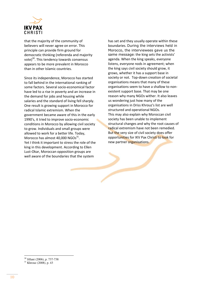

that the majority of the community of believers will never agree on error. This principle can provide firm ground for democratic thinking (referenda and majority vote) $30$ . This tendency towards consensus appears to be more prevalent in Morocco than in other Islamic countries.

Since its independence, Morocco has started to fall behind in the international ranking of some factors. Several socio-economical factor have led to a rise in poverty and an increase in the demand for jobs and housing while salaries and the standard of living fell sharply. One result is growing support in Morocco for radical Islamic extremism. When the government became aware of this in the early 1990's, it tried to improve socio-economic conditions in Morocco by allowing civil society to grow. Individuals and small groups were allowed to work for a better life. Today, Morocco has almost  $40,000$  NGOs $^{31}$ . Yet I think it important to stress the role of the king in this development. According to Ellen Lust-Okar, Moroccan opposition groups are well aware of the boundaries that the system

has set and they usually operate within these boundaries. During the interviews held in Morocco, the interviewees gave us the same message: the king sets the activists' agenda. When the king speaks, everyone listens, everyone nods in agreement; when the king says civil society should grow, it grows, whether it has a support base in society or not. Top-down creation of societal organisations means that many of these organisations seem to have a shallow to nonexistent support base. That may be one reason why many NGOs wither. It also leaves us wondering just how many of the organisations in Driss Khrouz's list are well structured and operational NGOs. This may also explain why Moroccan civil society has been unable to implement structural changes and why the root causes of radical extremism have not been remedied. But the very size of civil society does offer opportunities for IKV Pax Christi to look for new partner organisations.

<sup>30</sup> Jillani (2006), p. 737-738

<sup>31</sup> Khrouz (2008), p. 43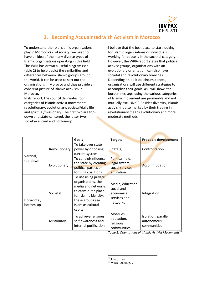

# 3. Becoming Acquainted with Activism in Morocco

To understand the role Islamic organisations play in Morocco's civil society, we need to have an idea of the many diverse types of Islamic organisations operating in this field. The WRR has drawn a useful diagram (see table 2) to help depict the similarities and differences between Islamic groups around the world. It can be used to sort out the organisations in Morocco and thus provide a coherent picture of Islamic activism in Morocco.

In its report, the council delineates four categories of Islamic activist movement: revolutionary, evolutionary, societal/daily life and spiritual/missionary. The first two are topdown and state-cantered, the latter two society-centred and bottom-up.

I believe that the best place to start looking for Islamic organisations or individuals working for peace is in the societal category. However, the WRR-report states that political activist groups, organisations with an evolutionary orientation, can also have societal and revolutionary branches. Depending on political circumstances, organisations will use different strategies to accomplish their goals. As I will show, the borderlines separating the various categories of Islamic movement are permeable and not mutually exclusive $32$ . Besides diversity, Islamic activism is also marked by their trading in revolutionary means evolutionary and more moderate methods.

|                          |               | Goals                                                                                                                                                                 | <b>Targets</b>                                                            | <b>Probable development</b>                      |
|--------------------------|---------------|-----------------------------------------------------------------------------------------------------------------------------------------------------------------------|---------------------------------------------------------------------------|--------------------------------------------------|
| Vertical,<br>top-down    | Revolutionary | To take over state                                                                                                                                                    |                                                                           |                                                  |
|                          |               | power by opposing                                                                                                                                                     | State(s)                                                                  | Confrontation                                    |
|                          |               | current system                                                                                                                                                        |                                                                           |                                                  |
|                          |               | To control/influence                                                                                                                                                  | Political field,                                                          |                                                  |
|                          | Evolutionary  | the state by creating                                                                                                                                                 | legal system,                                                             | Accommodation                                    |
|                          |               | political parties or                                                                                                                                                  | social services,                                                          |                                                  |
|                          |               | forming coalitions                                                                                                                                                    | education                                                                 |                                                  |
| Horizontal,<br>bottom-up | Societal      | To use using private<br>organisations, the<br>media and networks<br>to carve out a place<br>for Islamic identity;<br>these groups see<br>Islam as cultural<br>capital | Media, education,<br>social and<br>economical<br>services and<br>networks | Integration                                      |
|                          | Missionary    | To achieve religious<br>self-awareness and<br>internal purification                                                                                                   | Mosques,<br>education,<br>religious<br>communities                        | Isolation, parallel<br>autonomous<br>communities |

Table 2: Orientations of Islamic Activist Movements<sup>3</sup>

 $\overline{a}$ <sup>32</sup> Idem, p. 96

<sup>33</sup> WRR (2006), p. 97.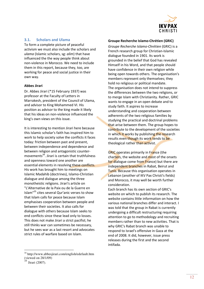

# 3.1. Scholars and Ulama

To form a complete picture of peaceful activism we must also include the scholars and ulama (Islamic scholars, sg: alim) that have influenced the the way people think about non-violence in Morocco. We need to include them in this report, because they, too, are working for peace and social justice in their own way.

#### Abbes Jirari

Dr. Abbes Jirari (\*15 February 1937) was professor at the Faculty of Letters in Marrakesh, president of the Council of Ulama, and advisor to King Mohammed VI. His position as advisor to the king made it likely that his ideas on non-violence influenced the king's own views on this issue.

It is interesting to mention Jirari here because this Islamic scholar's faith has inspired him to work to help society solve the conflicts it faces today: friction between past and present, between independence and dependence and between religion and antagonistic countermovements<sup>34</sup>. Jirari is certain that truthfulness and openness toward one another are essential elements in resolving these conflicts. His work has brought him to meetings on Islamic Madahib (doctrines), Islamo-Christian dialogue and dialogue among the three monotheistic religions. Jirari's article on "L'Alternative de la Paix ou de la Guerre en Islam"<sup>35</sup> cites several Qur'anic verses to show that Islam calls for peace because Islam emphasises cooperation between people and between their societies. It also calls for dialogue with others because Islam seeks to end conflicts since these lead only to losses. This does not make Jirari a strict pacifist; he still thinks war can sometimes be necessary, but he sees war as a last resort and advocates strict rules of warfare based on Islam.

 $\overline{a}$ <sup>34</sup> http://www.abbesjirari.com/english/edefault.htm (viewed on 28/1/09)

#### Groupe Recherche Islamo-Chrétien (GRIC)

Groupe Recherche Islamo-Chrétien (GRIC) is a French research group for Christian-Islamic dialogue founded in 1901. Its work is grounded in the belief that God has revealed Himself in his Word, and that people should have confidence in their own religion while being open towards others. The organisation's members represent only themselves; they hold no religious or political mandate. The organisation does not intend to suppress the differences between the two religions, or to merge Islam with Christianity. Rather, GRIC wants to engage in an open debate and to study faith. It aspires to increase understanding and cooperation between adherents of the two religious families by studying the practical and doctrinal problems that arise between them. The group hopes to contribute to the development of the societies in which it works by publishing the research results even though its work tends to be theological rather than activist.

GRIC operates primarily in France (the charters, the website and most of the onsets for dialogue come from France) but there are independent branches in Rabat, Beirut and Tunis. Because this organisation operates in Lebanon (another of IKV Pax Christi's fields) and Morocco, it may well be worth further consideration.

Each branch has its own section of GRIC's website on which to publish its research. The website contains little information on how the various national branches differ and interact. I was told that the group in Rabat is currently undergoing a difficult restructuring requiring attention to go to methodology and recruiting members rather than to new activities. That is why GRIC's Rabat branch was unable to respond to Israel's offensive in Gaza at the end of 2008. It did, however, issue press releases during the first and the second intifada.

 $35$  Jirari (2007).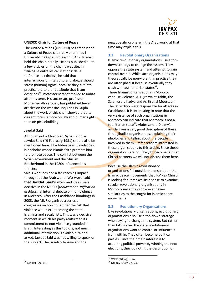

#### UNESCO Chair for Culture of Peace

The United Nations (UNESCO) has established a Culture of Peace chair at Mohammed I University in Oujda. Professor El Arbi Mrabet held this chair initially. He has published quite a few articles on the chair's website. In "Dialogue entre les civilisations: de la tolérance aux droits", he said that interreligious or intercultural dialogue should stress (human) rights, because they put into practice the tolerant attitude that Islam describes<sup>36</sup>. Professor Mrabet moved to Rabat after his term. His successor, professor Mohamed Ali Zerouali, has published fewer articles on the website. Inquiries in Oujda about the work of this chair showed that its current focus is more on law and human rights than on peacebuilding.

#### Jawdat Said

Although not a Moroccan, Syrian scholar Jawdat Said (\*9 February 1931) should also be mentioned here. Like Abbes Jirari, Jawdat Said is a scholar whose Islamic faith prompts him to promote peace. The conflict between the Syrian government and the Muslim Brotherhood in the 1980s influenced his thinking.

Said's work has had a far-reaching impact throughout the Arab world. We were told that Jawdat Said's work and ideas were decisive in the MUR's (Mouvement Unification et Réforme) internal debate on non-violence in Morocco. After the Casablanca bombings in 2003, the MUR organised a series of congresses on how to temper the risk that violence would erupt among the state, Islamists and secularists. This was a decisive moment in which his party reaffirmed its commitment to non-violence grounded in Islam. Interesting as this topic is, not much additional information is available. When asked, Jawdat Said was not willing to speak on the subject. The Israeli offensive and the

negative atmosphere in the Arab world at that time may explain this.

## 3.2. Revolutionary Organisations

Islamic revolutionary organisations use a topdown strategy to change the system. They oppose the state system and attempt to gain control over it. While such organisations may theoretically be non-violent, in practice they are often jihadist because eventually they clash with authoritarian states $^{37}$ . Three Islamist organisations in Morocco espouse violence: Al Hijra wa at Takfir, the Salafiya al Jihadya and As Sirat al Moustaqin. The latter two were responsible for attacks in Casablanca. It is interesting to note that the very existence of such organisations in Morocco can indicate that Morocco is not a totalitarian state<sup>38</sup>. Abdessamad Dialmy's article gives a very good description of these three jihadist organisations, explaining their ideologies and telling about the people involved in them. I refer readers interested in these organisations to this article. Since these organisations are not likely to become IKV Pax Christi partners we will not discuss them here.

Because the Islamic revolutionary organisations fall outside the description the Islamic peace movements that IKV Pax Christi is looking for, it makes little sense to examine secular revolutionary organisations in Morocco since they show even fewer similarities to the sought for Islamic peace movements.

#### 3.3. Evolutionary Organisations

Like revolutionary organisations, evolutionary organisations also use a top-down strategy when trying to change the system. But rather than taking over the state, evolutionary organisations want to control or influence it from within. They often become political parties. Since their main interest is to acquiring political power by winning the next elections, they do not fit the description of

 $\overline{a}$ 

<sup>37</sup> WRR (2006), p. 96

<sup>38</sup> Dialmy (2005), p. 78.

<sup>36</sup> Mrabet (2003?).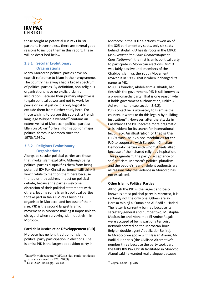

those sought as potential IKV Pax Christi partners. Nevertheless, there are several good reasons to include them in this report. These will be described below.

# 3.3.1 Secular Evolutionary **Organisations**

Many Moroccan political parties have no explicit reference to Islam in their programme. The country has always had a broad spectrum of political parties. By definition, non-religious organisations have no explicit Islamic inspiration. Because their primary objective is to gain political power and not to work for peace or social justice it is only logical to exclude them from further study here. For those wishing to pursue this subject, a French language Wikipedia website<sup>39</sup> contains an extensive list of Moroccan political parties; Ellen Lust-Okar<sup>40</sup> offers information on major political forces in Morocco since the 1970s/1980s.

# 3.3.2. Religious Evolutionary **Organisations**

Alongside secular political parties are those that invoke Islam explicitly. Although being political parties disqualifies them from being potential IKV Pax Christi partners, I still think it worth while to mention them here because the topics they address impact on political debate, because the parties welcome discussion of their political statements with others, leading some Islamist political parties to take part in talks IKV Pax Christi has organised in Morocco, and because of their size. PJD is the second largest Islamic movement in Morocco making it impossible to disregard when surveying Islamic activism in Morocco.

#### Parti de la Justice et de Développement (PJD)

Morocco has no long tradition of Islamic political party participation in elections. The Islamist PJD is the largest opposition party in Morocco; in the 2007 elections it won 46 of the 325 parliamentary seats, only six seats behind Istiqlal. PJD has its roots in the MPCD (Mouvement Populaire Démocratique et Constitutionnel), the first Islamic political party to particpate in Moroccan elections. MPCD was fairly passive until members of the Chabiba Islamiya, the Youth Movement, revived it in 1998. That is when it changed its name to PJD.

MPCD's founder, Abdelkarim Al Khatib, had ties with the government. PJD is still known as a pro-monarchy party. That is one reason why it holds government authorisation, unlike Al Adl wa-l Ihsane (see section 3.4.2). PJD's objective is ultimately to Islamise the country. It wants to do this legally by building institutions $41$ . However, after the attacks in Casablanca the PJD became more pragmatic as is evident for its search for international legitimacy. An illustration of that is the PJD's work to explore modalities for the PJD to cooperate with European Christian-Democratic parties with whom it feels allied because of their shared religious inspiration. This pragmatism, the party's acceptance of self-criticism, Morocco's political pluralism and the people's fear of violent outbursts are all reasons why the violence in Morocco has not escalated.

# Other Islamic Political Parties

Although the PJD is the largest and bestknown Islamist political party in Morocco, it is certainly not the only one. Others are al-Haraka min ajl al Ouma and Al-Badil al-Hadari. The latter is currently banned because its secretary-general and number two, Mustapha Moâtassim and Mohamed El Amine Ragala, were accused of being part of a terrorist network centred on the Moroccan-born Belgian double agent Abdelkader Belliraj. In Morocco we spoke with Hassan Alaoui, Al-Badil al-Hadari's (the Civilised Alternative's) number three because the party took part in the talks IKV Pax Christi facilitated in Morocco. Alaoui said he wanted real dialogue because

<sup>&</sup>lt;sup>39</sup>http://fr.wikipedia.org/wiki/Liste\_des\_partis\_politiques marocains (viewed on 27/01/2009)

 $\frac{1}{40}$  Lust-Okar (2005), pp.178-186

 $\overline{a}$  $41$  Zeghal (2005), p. 216.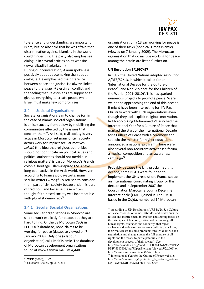

tolerance and understanding are important in Islam; but he also said that he was afraid that discrimination against Islamists in the world could hinder this. The party also emphasises dialogue in several articles on its website (www.albadilalhadari.com).

During our conversation, Alaoui spoke less positively about peacemaking than about dialogue. He emphasised the difference between peace and justice. He always linked peace to the Israeli-Palestinian conflict and the feeling that Palestinians are supposed to give up everything to create peace, while Israel must make few compromises.

## 3.4. Societal Organisations

Societal organisations aim to change (or, in the case of Islamic societal organisations: Islamise) society from below by mobilising the communities affected by the issues that concern them<sup>42</sup>. As I said, civil society is very active in Morocco, yet many of civil society actors work for implicit secular motives. Laicité (the idea that religious authorities should not pontificate on political issues and political authorities should not meddle in religious matters) is part of Morocco's French colonial heritage. Islam-inspired CSOs have long been active in the Arab world. However, according to Francesco Cavatorta, many secular writers wrongfully refused to consider them part of civil society because Islam is part of tradition, and because these writers thought faith-based society was incompatible with pluralist democracy<sup>43</sup>.

# 3.4.1 Secular Societal Organisations

Some secular organisations in Morocco are said to work explicitly for peace, but they are hard to find. Of the 58 Moroccan CSOs in ECOSOC's database, none claims to be working for peace (database viewed on 7 January 2009). Only one (a labour organisation) calls itself Islamic. The database of Moroccan development organisations found at www.tanmia.ma lists 4,440

organisations; only 13 say working for peace is one of their tasks (none calls itself Islamic) (viewed on 7 January 2009). The Moroccan organisation that do include working for peace among their tasks are listed further on.

#### UN Resolution E/1997/97

In 1997 the United Nations adopted resolution A/RES/52/13, in which it called for an 'International Decade for the Culture of Peace<sup>44</sup> and Non-Violence for the Children of the World (2001–2010)'. This has sparked numerous projects to promote peace. Were we not be approaching the end of this decade, it might have been interesting for IKV Pax Christi to work with such organisations even though they lack explicit religious motivation. In Morocco King Mohammed VI launched the International Year for a Culture of Peace that marked the start of the International Decade for a Culture of Peace with a ceremony and speech; the minster for higher education announced a national program. There were also several non-recurrent activities: a forum, a musical competition and an awareness campaign<sup>45</sup>.

Probably because the king proclaimed this decade, some NGOs were founded to implement the UN's resolution. France set up an international coordinating group for this decade and in September 2007 the Coordination Marocaine pour la Décennie Internationale (CMDI) joined it. The CMDI, based in the Oujda, numbered 14 Moroccan

 $\overline{a}$ <sup>42</sup> WRR (2006), p. 97

<sup>43</sup> Cavatorta (2006), pp. 207, 212

 $\overline{a}$ <sup>44</sup> According to UN Resolutions A/RES/52/13, a Culture of Peace "consists of values, attitudes and behaviours that reflect and inspire social interaction and sharing based on the principles of freedom, justice and democracy, all human rights, tolerance and solidarity, that reject violence and endeavour to prevent conflicts by tackling their root causes to solve problems through dialogue and negotiation and that guarantee the full exercise of all rights and the means to participate fully in the development process of their society". See: http://daccessdds.un.org/doc/UNDOC/GEN/N98/760/15/ PDF/N9876015.pdf?OpenElement (viewed 5/2/2009) or http://www.un-documents.net/a52r13.htm <sup>45</sup> International Year for the Culture of Peace website: http://www3.unesco.org/iycp/uk/uk\_tb\_national\_articles. asp?Pays=MOR (viewed on 27/01/2009)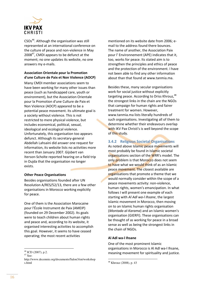

CSOs<sup>46</sup>. Although the organisation was still represented at an international conference on the culture of peace and non-violence in May 2008<sup>47</sup>, CMDI appears to be defunct at the moment; no one updates its website, no one answers my e-mails.

# Association Orientale pour la Promotion d'une Culture de Paix et Non Violence (AOCP)

Many CMDI member associations seem to have been working for many other issues than peace (such as handicapped care, youth or environment), but the Association Orientale pour la Promotion d'une Culture de Paix et Non Violence (AOCP) appeared to be a potential peace movement. Its ultimate goal is a society without violence. This is not restricted to mere physical violence, but includes economical, political, sexual, ideological and ecological violence. Unfortunately, this organisation too appears defunct. Although its secretary-general Abdellah Lahsaini did answer one request for information, its website lists no activities more recent than January 2007. Gijsbert van Iterson-Scholte reported hearing on a field trip in Oujda that the organisation no longer exists.

# Other Peace Organisations

Besides organisations founded after UN Resolution A/RES/52/13, there are a few other organisations in Morocco working explicitly for peace.

One of them is the Association Marocaine pour l'École Instrument de Paix (AMEIP) (founded on 29 December 2002). Its goals were to teach children about human rights and peace and, according to its website, it organised interesting activities to accomplish this goal. However, it seems to have ceased operating; the most recent activities

http://www.decennie.org/documents/Salon3/en/workshop s.html

mentioned on its website date from 2006; email to the address found there bounces. The name of another, the Association Paix pour l' Environnement (APE) indicates that it, too, works for peace. Its stated aim is to strengthen the principles and ethics of peace and the protection of the environment. I have not been able to find any other information about than that found at www.tanmia.ma.

Besides these, many secular organisations work for social justice without explicitly targeting peace. According to Driss Khrouz.<sup>48</sup> the strongest links in the chain are the NGOs that campaign for human rights and fairer treatment for women. However, www.tanmia.ma lists literally hundreds of such organisations. Investigating all of them to determine whether their endeavours overlap with IKV Pax Christi's is well beyond the scope of this study.

3.4.2 Religious Societal Organisations

As noted above Islamic peace movements will most probably be found in Islamic societal organisations section of the WRR's model. The only problem is that Morocco does not seem to have what we would think of as an Islamic peace movement. The closest available are organisations that promote a theme that we would normally consider within the scope of a peace movements activity: non-violence, human rights, women's emancipation. In what follows I will present one example of each starting with Al Adl wa-I Ihsane, the largest Islamic movement in Morocco, then moving on to an Islamic human rights organisation (Montada al-Karama) and an Islamic women's organisation (GIERFI). These organisations can be thought of as working for peace in a broad sense as well as being the strongest links in the chain of NGOs.

#### Al Adl wa-l Ihsane

One of the most prominent Islamic organisations in Morocco is Al Adl wa-l Ihsane, meaning movement for spirituality and justice.

 $\overline{a}$  $46$  ICD (2007), p.2.

 $47$  See:

 $\overline{a}$ <sup>48</sup> Khrouz (2008), p. 43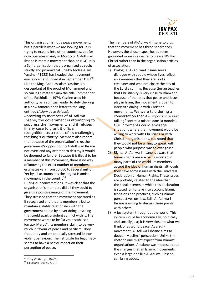

This organisation is not a peace movement, but it parallels what we are looking for. It is trying to expand into other countries, but for now operates mainly in Morocco. Al-Adl wa-l Ihsane is more a movement than an NGO. It is a Sufi organisation that is organised as such: strictly and pyramidical. Sheikh Abdessalam Yassine (\*1928) has headed the movement ever since he founded it in September 1987 $49$ . Like the King, Abdelassalam Yassine is a descendant of the prophet Mohammed and so can legitimately claim the title Commander of the Faithfull. In 1974, Yassine used his authority as a spiritual leader to defy the king in a now famous open letter to the king' entitled L'Islam ou le deluge).

According to members of Al-Adl wa-l Ihsane, the government is attempting to suppress the movement, and it refuses in any case to grant it official recognition, as a result of its challenging the king's authority. Members also report that because of the organisation's size, the government's opposition to Al-Adl wa-l Ihsane not overt and any attempt to destroy it would be doomed to failure. Because it is illegal to be a member of this movement, there is no way of knowing the exact number of members; estimates vary from 50,000 to several million. Yet by all accounts it is the largest Islamist movement in the country<sup>50</sup>.

During our conversations, it was clear that the organisation's members did all they could to give us a positive image of the movement. They stressed that the movement operated as if recognised and that its members tried to maintain a stable relationship with the government stable by never doing anything that could spark a violent conflict with it. The movement wants to be "la vraie stabilisat ion aux Maroc". Its members claim to be very much in favour of peace and pacifism. They frequently and emphatically stressed its nonviolent behaviour. Their struggle for legitimacy seems to have a heavy impact on their perception of peace.

The members of Al-Adl wa-l Ihsane told us that the movement has three spearheads. However, the chosen spearheads seem grounded more in a desire to please IKV Pax Christi rather than in the organisation articles of association.

- 1) Dialogue. Al-Adl wa-l Ihsane seeks dialogue with people whose lives reflect an awareness that they are God's creatures and who anticipate the day of the Lord's coming. Because Qur'an teaches that Christianity is very close to Islam and because of the roles that peace and Jesus play in Islam, the movement is open to interfaith dialogue with Christian movements. We were told during a conversation that it is important to keep talking "contre la misère dans la monde". Our informants could envisage situations where the movement would be willing to work with Christians or with Christian organisations, but noted that they would not be willing to speak with people who purpose was to evangelise.
- 2) Rights. Al-Adl wa-I Ihsane is aware that human rights are are being violated in many parts of the world. Its members accept the idea of human rights, although they have some issues with the Universal Declaration of Human Rights. These issues are probably related to the idea that the secular terms in which this declaration is stated fail to take into account Islamic traditions and practices, such as Islamic perspectives on law. Still, Al-Adl wa-l Ihsane is willing to discuss these points with others.
- 3) A just system throughout the world. This system would be economically, politically and socially just; it is very close to what we think of as world peace. As a Sufimovement, Al-Adl wa-l Ihsane aims to deepen Muslims' perception. Unlike the rhetoric one might expect from Islamist organisations, Arsalane was modest about the changes that an Islamic movements, even a large one like Al Adl wa-l Ihsane, can bring about.

<sup>49</sup> Tozy (2009), pp. 198-201

<sup>50</sup> Cavatorta (2006), p. 213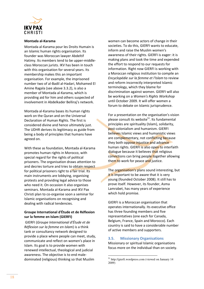

#### Montada al-Karama

Montada al-Karama pour les Droits Humain is an Islamic human rights organisation. Its founder was Moroccan lawyer Abdeltif Hatimy. Its members tend to be upper-middleclass Moroccan jurists. IKV has been in touch with this organisation for several years. Its membership makes this an important organisation. For example, the imprisoned number two of al-Badil al-Hadari, Mohamed El Amine Ragala (see above 3.3.2), is also a member of Montada al-Karama, which is providing aid for him and others suspected of involvement in Abdelkader Belliraj's network.

Montada al-Karama bases its human rights work on the Quran and on the Universal Declaration of Human Rights. The first is considered divine and hence ultimately just. The UDHR derives its legitimacy as guide from being a body of principles that humans have agreed on.

With these as foundation, Montada al-Karama promotes human rights in Morocco, with special regard for the rights of political prisoners. The organisation draws attention to and decries torture and tries to obtain respect for political prisoners right to a fair trial. Its main instruments are lobbying, organising protests and providing legal advice to those who need it. On occasion it also organises seminars. Montada al-Karama and IKV Pax Christi plan to co-organise soon a seminar for Islamic organisations on recognising and dealing with radical tendencies.

# Groupe International d'Étude et de Réflexion sur la femme en Islam (GIERFI)

 GIERFI (Groupe International d'Étude et de Réflexion sur la femme en Islam) is a think tank or consultancy network designed to provide a place where people can meet, study, communicate and reflect on women's place in Islam. Its goal is to provide women with renewed intellectual, theological and judicial awareness. The objective is to end maledominated (religious) thinking so that Muslim

women can become actors of change in their societies. To do this, GIERFI wants to educate, inform and raise the Muslim women's awareness of their rights. GIERFI is eager: it is making plans and took the time and expended the effort to respond to our requests for information. Right now GIERFI is working with a Moroccan religious institution to compile an Encyclopédie sur la femme et l'Islam to review and reform incorrectly interpreted Islamic terminology, which they blame for discrimination against women. GIERFI will also be working on a Women's Rights Workshop until October 2009. It will offer women a forum to debate on Islamic jurisprudence.

For a presentation on the organisation's vision please consult its website<sup>51</sup>. Its fundamental principles are spirituality (Islam), solidarity, post-colonialism and humanism. GIERFI believes Islamic views and humanistic views are complementary, not conflicting because they both oppose injustice and advance human rights. GIERFI is also open to interfaith dialogue because it believes that religious convictions can bring people together allowing them to work for peace and justice.

The organisation's plans sound interesting, but it is important to be aware that it is very young (founded October 2008). It still has to prove itself. However, its founder, Asma Lamrabet, has many years of experience which hold promise.

GIERFI is a Moroccan organisation that operates internationally. Its executive office has three founding members and five representatives (one each for Canada, Belgium, France, Spain and Morocco). Each country is said to have a considerable number of active members and supporters.

# 3.5. Missionary Organisations

Missionary or spiritual Islamic organisations focus more on the individual than on society.

 $\overline{a}$ <sup>51</sup> http://gierfi.wordpress.com (viewed on January 14 2009)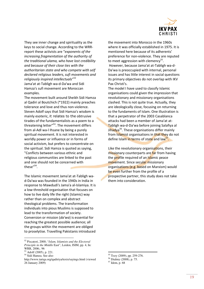

They see inner change and spirituality as the keys to social change. According to the WRRreport these activists are "exponents of the increasing fragmentation of the authority of the traditional ulama, who have lost credibility and because of their close ties with the authoritarian state and who compete with self declared religious leaders, sufi movements and religiously inspired intellectuals"<sup>52</sup> Jama'at at-Tabligh wa-d-Da'wa and Sidi Hamza's sufi movement are Moroccan examples.

The movement built around Sheikh Sidi Hamza al Qadiri al Boutchich (\*1922) mainly preaches tolerance and love and thus non-violence. Steven Adolf says that Sidi Hamza's wisdom is mainly esoteric, it relates to the obtrusive tirades of the fundamentalists as a poem to a threatening letter"<sup>53</sup>. The movement differs from al-Adl wa-l Ihsane by being a purely spiritual movement. It is not interested in worldly power or influence or in forms of social activism, but prefers to concentrate on the spiritual. Sidi Hamza is quoted as saying, "Conflicts between various ethnic and religious communities are linked to the past and one should not be concerned with these"<sup>54</sup>.

The Islamic movement Jama'at at-Tabligh wad-Da'wa was founded in the 1940s in India in response to Mawdudi's Jama'a al-Islamiya. It is a low-threshold organisation that focuses on how to live daily life the right (Islamic) way rather than on complex and abstract theological problems. The transformation individuals into pious Muslims is supposed to lead to the transformation of society. Conversion or mission (da'wa) is essential for reaching the greatest possible audience; all the groups within the movement are obliged to proselytise. Travelling Pakistanis introduced

 $\overline{a}$ 

the movement into Morocco in the 1960s where it was officially established in 1975. It is mentioned here because of its adherents' preference for non-violence. They are reputed to meet aggression with clemency<sup>55</sup>. However, because Jama'at at-Tabligh wa-d-Da'wa is preoccupied with internal, personal issues and has little interest in social questions its primary objectives do not overlap with IKV Pax Christi's.

The model I have used to classify Islamic organisations could given the impression that revolutionary and missionary organisations clashed. This is not quite true. Actually, they are ideologically close, focusing on returning to the fundaments of Islam. One illustration is that a perpetrator of the 2003 Casablanca attacks had been a member of Jama'at at-Tabligh wa-d-Da'wa before joining Salafiya al Jihadya<sup>56</sup>. These organisations differ mainly from Islamist organisations in that they do not define Islam in terms of state and law<sup>57</sup>.

Like the revolutionary organisations, their missionary counterparts are far from having the profile required of an Islamic peace movement. Since secular missionary organisations (e.g. based on Marxism) would be even further from the profile of a prospective partner, this study does not take them into consideration.

<sup>52</sup> Piscatori, 2000; "*Islam, Islamists and the Electoral Principle in the Middle* East", Leiden, ISIM, pp. 4, In: WRR, 2006;. 96

<sup>53</sup> Adolf (2005), p. 221.

<sup>54</sup> Sidi Hamza. See also

http://www.tariqa.org/qadiriya/texts/sayings.html (viewed 26 January 2009)

<sup>55</sup> Tozy (2009), pp. 259-276.

<sup>56</sup> Dialmy (2008), p. 75.

<sup>57</sup> Idem, p. 68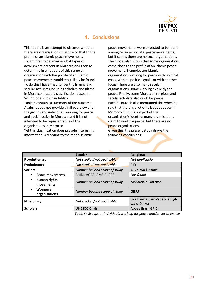

# 4. Conclusions

This report is an attempt to discover whether there are organisations in Morocco that fit the profile of an Islamic peace movement. I sought first to determine what types of activism are present in Morocco and then to determine in what part of this range an organisation with the profile of an Islamic peace movements would most likely be found. To do this I have tried to identify Islamic and secular activists (including scholars and ulama) in Morocco. I used a classification based on WRR model shown in table 2.

Table 3 contains a summary of the outcome. Again, it does not provide a full overview of all the groups and individuals working for peace and social justice in Morocco and it is not intended to be representative of the organisations in Morocco.

Yet this classification does provide interesting information. According to the model Islamic

peace movements were expected to be found among religious societal peace movements; but it seems there are no such organisations. The model also shows that some organisations come close to the profile of an Islamic peace movement. Examples are Islamic organisations working for peace with political goals, with no political goals, or with another focus. There are also many secular organisations, some working explicitly for peace. Finally, some Moroccan religious and secular scholars also work for peace. Rachid Toutouh also mentioned this when he said that there is a lot of talk about peace in Morocco, but it is not part of the organisation's identity; many organisations claim to work for peace, but there are no peace organisations. Given this, the present study draws the

|                           | <b>Secular</b>               | <b>Religious</b>                             |
|---------------------------|------------------------------|----------------------------------------------|
| Revolutionary             | Not studied/not applicable   | Not applicable                               |
| Evolutionary              | Not studied/not applicable   | <b>PJD</b>                                   |
| <b>Societal</b>           | Number beyond scope of study | Al Adl wa-I Ihsane                           |
| <b>Peace movements</b>    | CMDI, AOCP, AMEIP, APE       | Not found                                    |
| Human rights<br>movements | Number beyond scope of study | Montada al-Karama                            |
| Women's<br>organisations  | Number beyond scope of study | <b>GIFREI</b>                                |
| <b>Missionary</b>         | Not studied/not applicable   | Sidi Hamza, Jama'at at-Tabligh<br>wa-d-Da'wa |
| <b>Scholars</b>           | <b>UNESCO Chair</b>          | Abbes Jirari, GRIC                           |

Table 3: Groups or individuals working for peace and/or social justice

following conclusions.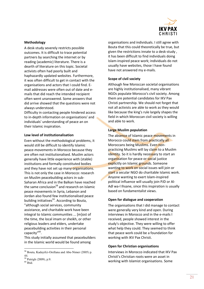

#### Methodology

A desk-study severely restricts possible outcomes. It is difficult to trace potential partners by searching the internet or by reading (academic) literature. There is a dearth of literature on this topic. Societal activists often had poorly built and haphazardly updated websites. Furthermore, it was often difficult to get in contact with the organisations and actors that I could find. Email addresses were often out of date and emails that did reach the intended recipient often went unanswered. Some answers that did arrive showed that the questions were not always understood.

Difficulty in contacting people hindered access to in-depth information on organisations' and individuals' understanding of peace an on their Islamic inspiration.

#### Low level of institutionalisation

Even without the methodological problems, it would still be difficult to identify Islamic peace-movements in Morocco because they are often not institutionalised. Muslim actors generally have little experience with (stable) institutions and formally constituted bodies and they have not set up many organisations. This is not only the case in Morocco: research on Muslim peacebuilding actors in sub-Saharan Africa and in the Balkan have reached the same conclusion<sup>58</sup> and research on Islamic peace movements in Syria, Lebanon and Jordan also found few institutionalised peace building initiatives<sup>59</sup>. According to Bouta, "although social services, community assistance, and charitable work have been integral to Islamic communities ... [m]ost of the time, the local imam or sheikh, or other religious leaders and elders, undertake peacebuilding activities in their personal capacity"<sup>60</sup>.

This study initially assumed that peacebuilders in the Islamic world would be found among

 $\overline{a}$ 

#### Scope of civil society

Although few Moroccan societal organisations are highly institutionalised, many vibrant NGOs populate Morocco's civil society. Among them are potential candidates for IKV Pax Christi partnership. We should not forget that not all activists are able to work as they would like because the king's rule largely shapes the field in which Moroccan civil society is willing and able to work.

#### Large Muslim population

The absence of Islamic peace movements in Morocco could stem from practically all Moroccans being Muslims. Even nonpracticing Muslims will lay claim to a Muslim identity. So it is hardly necessary to start an organisation for peace or social justice explicitly on Islamic grounds. Someone wanting to work on social issues will join or start a secular NGO do charitable Islamic work. Anyone wanting to exert Islam-inspired political influence will usually join PJD or Al-Adl wa-l Ihsane, since this inspiration is usually based on fundamentalist views.

#### Open for dialogue and cooperation

The organisations that I did manage to contact were generally very kind and open. During interviews in Morocco and in the e-mails I received, people showed interest in the study's objective. They were willing to offer what help they could. They seemed to think that peace work could be a foundation for working with IKV Pax Christi.

#### Open for Christian organisations

Interviews in Morocco indicated that IKV Pax Christi's Christian roots were an asset in working with Islamist organisations. Some

<sup>58</sup> Bouta, Kadayifci-Orellana and Abu-Nimer (2005) p. 44.

<sup>59</sup> Petrigh (2009), p.9.  $60$  Ibid.

organisations and individuals. I still agree with Bouta that this could theoretically be true, but given the restrictions innate to a desk-study , it has been difficult to find individuals doing Islam-inspired peace work; individuals do not usually have websites, those I have found have not answered my e-mails.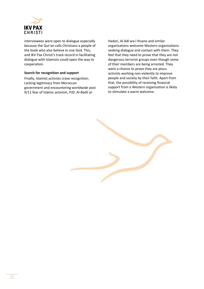

interviewees were open to dialogue especially because the Qur'an calls Christians a people of the book who also believe in one God. This, and IKV Pax Christi's track record in facilitating dialogue with Islamists could open the way to cooperation.

## Search for recognition and support

Finally, Islamist activists crave recognition. Lacking legitimacy from Moroccan government and encountering worldwide post 9/11 fear of Islamic activism, PJD, Al-Badil al-

Hadari, Al Adl wa-l Ihsane and similar organisations welcome Western organisations seeking dialogue and contact with them. They feel that they need to prove that they are not dangerous terrorist groups even though some of their members are being arrested. They want a chance to prove they are pious activists working non-violently to improve people and society by their faith. Apart from that, the possibility of receiving financial support from a Western organisation is likely to stimulate a warm welcome.

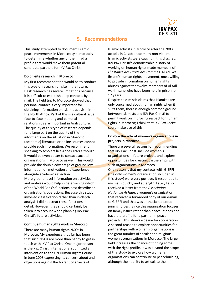

# 5. Recommendations

This study attempted to document Islamic peace movements in Morocco systematically to determine whether any of them had a profile that would make them potential candidate partners for IKV Pax Christi.

#### Do on-site research in Morocco

My first recommendation would be to conduct this type of research on site in the future. Desk research has severe limitations because it is difficult to establish deep contacts by email. The field trip to Morocco showed that personal contact is very important for obtaining information on Islamic activism in the North Africa. Part of this is a cultural issue: face-to-face meeting and personal relationships are important in Arab culture. The quality of this type of research depends for a large part on the quality of the informants on the situation in Morocco; (academic) literature or online sources cannot provide such information. We recommend speaking to scholars like Abbes Jirari although it would be even better to contact societal organisations in Morocco as well. This would provide the double advantage of ground-level information on motivation and experience alongside academic reflection. More ground-level information on activities and motives would help in determining which of the World Bank's functions best describe an organisation's operations. Because this study involved classification rather than in-depth analysis I did not treat these functions in detail. However, they should certainly be taken into account when planning IKV Pax Christi's future activities.

#### Continue human rights work in Morocco

There are many human rights NGOs in Morocco. My experience thus far has been that such NGOs are more than happy to get in touch with IKV Pax Christi. One major reason is the Pax Christi International submitted an intervention to the UN Human Rights Council in June 2008 expressing its concern about and objections against the torrent of arrests of

Islamic activists in Morocco after the 2003 attacks in Casablanca; many non-violent Islamic activists were caught in this dragnet. IKV Pax Christi's demonstrable history of working on human rights made members of L'instance des Droits des Hommes, Al Adl Wal Ihsane's human rights movement, most willing to provide information on human rights abuses against the twelve members of Al Adl wa-l Ihsane who have been held in prison for 17 years.

Despite pessimistic claims that Islamists are only concerned about human rights when it suits them, there is enough common ground between Islamists and IKV Pax Christi to permit work on improving respect for human rights in Morocco; I think that IKV Pax Christi could make use of this.

#### Explore the role of women's organisations in projects in Morocco

There are several reasons for recommending that IKV Pax Christi include women's organisations in future projects and explore opportunities for creating partnerships with such organisations in Morocco. One reason is that my contacts with GIERFI (the only women's organisation included in this study) were very positive. It responded to my mails quickly and at length. Later, I also received a letter from the Association Nationale Al Hidn, a women's organisation that received a forwarded copy of our e-mail to GIERFI and that was enthusiastic about joining forces. (Since this organisation focuses on family issues rather than peace, it does not have the profile for a partner in peace projects.) This shows a desire for cooperation. A second reason to explore opportunities for partnerships with women's organisations is the great number of secular and religious women's organisations in Morocco. The large field increases the chance of finding some with the right profile. It was beyond the scope of this study to explore how women's organisations can contribute to peacebuilding, although their ability to articulate the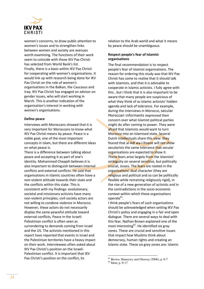

women's concerns, to draw public attention to women's issues and to strengthen links between women and society are avenues worth examining. The functions of their work seem to coincide with those IKV Pax Christi has selected from World Bank's list. Finally, there is a basis within IKV Pax Christi for cooperating with women's organisations. It would link up with research being done for IKV Pax Christi on the role of women's organisations in the Balkan, the Caucasus and Iraq. IKV Pax Christi has engaged an advisor on gender issues, who will start working in March. This is another indication of the organisation's interest in working with women's organisations.

#### Define peace

Interviews with Moroccans showed that it is very important for Moroccans to know what IKV Pax Christi means by peace. Peace is a noble goal, one of the most important concepts in Islam, but there are different ideas on what peace is.

There is a difference between talking about peace and accepting it as part of one's identity. Mohammed Cheppih believes it is also important to distinguish between internal conflicts and external conflicts. He said that organisations in Islamic countries often have a non-violent attitude towards their state and the conflicts within this state. This is consistent with my findings: evolutionary, societal and missionary activists have many non-violent principles; civil society actors are not willing to condone violence in Morocco. However, these actors do not necessarily display the same peaceful attitude toward external conflicts. Peace in the Israeli-Palestinian conflict is often seen as surrendering to demands coming from Israel and the US. The activists mentioned in this report have reported that events in Israel and the Palestinian territories have a heavy impact on their work. Interviewees often asked about IKV Pax Christi's position on the Israeli-Palestinian conflict. It is important that IKV Pax Christi's position on the conflict, its

relation to the Arab world and what it means by peace should be unambiguous.

# Respect people's fear of Islamist organisations

The final recommendation is to respect people's fear of Islamist organisations. The reason for ordering this study was that IKV Pax Christi has come to realise that it should talk with Islamists, and that it is advisable to cooperate in Islamic activists. I fully agree with this , but I think that it is also important to be aware that many people are suspicious of what they think of as Islamic activists' hidden agenda and lack of tolerance. For example, during the interviews in Morocco, secular Moroccan informants expressed their concern over what Islamist political parties might do after coming to power. They were afraid that Islamists would want to turn Morocco into an Islamised state. Several Dutch intellectuals share this view: they feared that al-Adl wa-I Ihsane will not show secularists the same tolerance that secular organisations are expected to show it. These fears arise largely from the Islamists' ambiguity on several sensitive, but politically crucial, issues. The fears are rooted in the organisations' dual character (they are religious and political and so can be politically flexible while remaining religiously rigid), in the rise of a new generation of activists and in the contradictions in the socio-economic context within which these organisations operate<sup>61</sup>.

I think people's fears of such organisations should be acknowledged when setting IKV Pax Christi's policy and engaging in a fair and open dialogue. There are several ways to deal with this fear, Nathan Brown explained one of the most interesting<sup>62</sup>. He identified six gray zones. These are crucial and sensitive issues that impact how Muslims think about democracy, human rights and creating an Islamic state. These six grey zones are: Islamic

<sup>61</sup> Brown, Hamzawy and Ottaway (2006), p. 6-7

<sup>62</sup> Idem, p. 8-17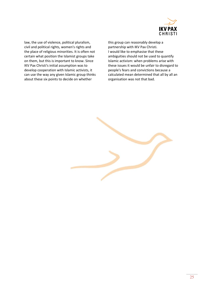

law, the use of violence, political pluralism, civil and political rights, women's rights and the place of religious minorities. It is often not certain what position the Islamist groups take on them, but this is important to know. Since IKV Pax Christi's initial assumption was to develop cooperation with Islamic activists, it can use the way any given Islamic group thinks about these six points to decide on whether

this group can reasonably develop a partnership with IKV Pax Christi. I would like to emphasise that these ambiguities should not be used to quantify Islamic activism: when problems arise with these issues it would be unfair to disregard to people's fears and convictions because a calculated mean determined that all by all an organisation was not that bad.

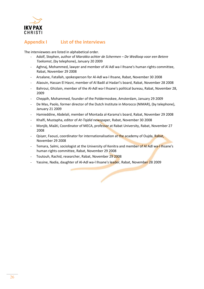

# Appendix I List of the interviews

The interviewees are listed in alphabetical order.

- Adolf, Stephen, author of Marokko achter de Schermen De Wedloop voor een Betere Toekomst, (by telephone), January 20 2009
- Aghnaj, Mohammed, lawyer and member of Al Adl wa-l Ihsane's human rights committee, Rabat, November 29 2008
- Arsalane, Fatallah, spokesperson for Al-Adl wa-l Ihsane, Rabat, November 30 2008
- Alaouin, Hassan El Hasni, member of Al Badil al Hadari's board, Rabat, November 28 2008
- Bahroui, Ghizlain, member of the Al-Adl wa-l Ihsane's political bureau, Rabat, November 28, 2009
- Cheppih, Mohammed, founder of the Poldermoskee, Amsterdam, January 29 2009
- De Mas, Paolo, former director of the Dutch Institute in Morocco (NIMAR), (by telephone), January 21 2009
- Hamieddine, Abdelali, member of Montada al-Karama's board, Rabat, November 29 2008
- Khalfi, Mustapha, editor of At-Tajdid newspaper, Rabat, November 30 2008
- Monjib, Maâti, Coordinator of MECA, professor at Rabat University, Rabat, November 27 2008
- Qsiyer, Faouzi, coordinator for internationalisation at the academy of Oujda, Rabat, November 29 2008
- Temara, Salmi, sociologist at the University of Kenitra and member of Al Adl wa-I Ihsane's human rights committee, Rabat, November 29 2008
- Toutouh, Rachid, researcher, Rabat, November 29 2008
- Yassine, Nadia, daughter of Al-Adl wa-l Ihsane's leader, Rabat, November 28 2009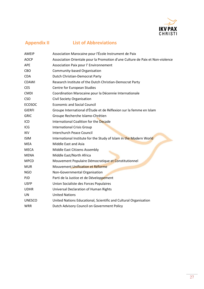

# Appendix II List of Abbreviations

| AMEIP         | Association Marocaine pour l'École Instrument de Paix                         |
|---------------|-------------------------------------------------------------------------------|
| <b>AOCP</b>   | Association Orientale pour la Promotion d'une Culture de Paix et Non-violence |
| <b>APE</b>    | Association Paix pour l' Environnement                                        |
| CBO           | Community-based Organisation                                                  |
| <b>CDA</b>    | Dutch Christian-Democrat Party                                                |
| <b>CDAWI</b>  | Research Institute of the Dutch Christian-Democrat Party                      |
| <b>CES</b>    | Centre for European Studies                                                   |
| <b>CMDI</b>   | Coordination Marocaine pour la Décennie Internationale                        |
| <b>CSO</b>    | Civil Society Organisation                                                    |
| <b>ECOSOC</b> | <b>Economic and Social Council</b>                                            |
| <b>GIERFI</b> | Groupe International d'Étude et de Réflexion sur la femme en Islam            |
| <b>GRIC</b>   | Groupe Recherche Islamo-Chrétien                                              |
| ICD           | International Coalition for the Decade                                        |
| ICG           | <b>International Crisis Group</b>                                             |
| <b>IKV</b>    | <b>Interchurch Peace Council</b>                                              |
| <b>ISIM</b>   | International Institute for the Study of Islam in the Modern World            |
| <b>MEA</b>    | Middle East and Asia                                                          |
| <b>MECA</b>   | Middle East Citizens Assembly                                                 |
| <b>MENA</b>   | Middle East/North Africa                                                      |
| <b>MPCD</b>   | Mouvement Populaire Démocratique et Constitutionnel                           |
| <b>MUR</b>    | Mouvement Unification et Réforme                                              |
| <b>NGO</b>    | Non-Governmental Organisation                                                 |
| <b>PJD</b>    | Parti de la Justice et de Développement                                       |
| <b>USFP</b>   | Union Socialiste des Forces Populaires                                        |
| <b>UDHR</b>   | Universal Declaration of Human Rights                                         |
| UN            | <b>United Nations</b>                                                         |
| <b>UNESCO</b> | United Nations Educational, Scientific and Cultural Organisation              |
| <b>WRR</b>    | Dutch Advisory Council on Government Policy                                   |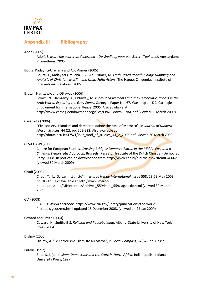

# Appendix III Bibliography

#### Adolf (2005)

Adolf, S. Marokko achter de Schermen – De Wedloop voor een Betere Toekomst. Amsterdam: Prometheus, 2005

#### Bouta, Kadayifci-Orellana and Abu-Nimer (2005)

Bouta, T., Kadayifci-Orellana, S.A., Abu-Nimer, M. Faith Based Peacebuilding: Mapping and Analysis of Christian, Muslim and Multi-Faith Actors. The Hague: Clingendael Institute of International Relations, 2005.

#### Brown, Hamzawy, and Ottaway (2006)

Brown, N., Hamzawy, A., Ottaway, M. Islamist Movements and the Democratic Process in the Arab World: Exploring the Gray Zones. Carnegie Paper No. 67. Washington, DC: Carnegie Endowment for International Peace, 2006. Also available at

http://www.carnegieendowment.org/files/CP67.Brown.FINAL.pdf (viewed 30 March 2009)

#### Cavatorta (2006)

"Civil society, Islamism and democratisation: the case of Morocco", in Journal of Modern African Studies, 44 (2). pp. 203-222. Also available at http://doras.dcu.ie/475/1/jour\_mod\_af\_studies\_44\_2\_2006.pdf (viewed 30 March 2009)

#### CES-CDAWI (2008)

Centre for European Studies. Crossing Bridges: Democratisaton in the Middle **East and a** Christian Democratic Approach, Brussels: Research Institute of the Dutch Christian-Democrat Party, 2008. Report can be downloaded from http://www.cda.nl/nieuws.aspx?itemID=6662 (viewed 30 March 2009)

#### Chadi (2003)

Chadi, T. "La Galaxy Intégriste", in Maroc Hebdo International, Issue 558, 23-29 May 2003, pp. 10-12. Text available at http://www.maroc-

hebdo.press.ma/MHinternet/Archives\_559/html\_559/lagalaxie.html (viewed 30 March 2009)

#### CIA (2008)

CIA. CIA World Factbook. https://www.cia.gov/library/publications/the-worldfactbook/geos/mo.html updated 18 December 2008, (viewed on 22 Jan 2009)

#### Coward and Smith (2004)

Coward, H., Smith, G.S. Religion and Peacebuilding, Albany, State University of New York Press, 2004

#### Dialmy (2005)

Dialmy, A. "Le Terrorisme Islamiste au Maroc", in Social Compass, 52(67), pp. 67-82

#### Entelis (1997)

Entelis, J. (ed.). Islam, Democracy and the State in North Africa, Indianapolis: Indiana University Press, 1997.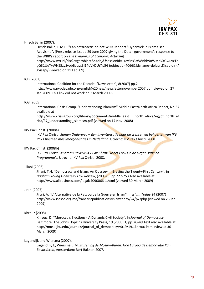

Hirsch Ballin (2007).

Hirsch Ballin, E.M.H. "Kabinetsreactie op het WRR Rapport "Dynamiek in Islamitisch Activisme". [Press release issued 29 June 2007 giving the Dutch government's response to the WRR's report on The Dynamics of Economic Activism] http://www.wrr.nl/dsc?c=getobject&s=obj&!sessionid=1zcV!ns3tW8nhb9oWMdxXGwuyxTa gQ31UuYyWNZ5zySvobBaqys3l14qVxDU@p5G&objectid=4066&!dsname=default&isapidir=/ gvisapi/ (viewed on 11 Feb. 09)

## ICD (2007)

International Coalition for the Decade. "Newsletter", 8(2007) pp.2, http://www.nvpdecade.org/english%20new/newsletternovember2007.pdf (viewed on 27 Jan 2009. This link did not work on 3 March 2009)

#### ICG (2005)

International Crisis Group. "Understanding Islamism" Middle East/North Africa Report, Nr. 37 available at

http://www.crisisgroup.org/library/documents/middle\_east\_\_\_north\_africa/egypt\_north\_af rica/37 understanding islamism.pdf (viewed on 17 Nov. 2008)

#### IKV Pax Christi (2008a)

IKV Pax Christi. Samen Onderweg – Een inventarisatie naar de wensen en behoeften van IKV Pax Christi en moslimorganisaties in Nederland. Utrecht: IKV Pax Christi, 2008.

#### IKV Pax Christi (2008b)

IKV Pax Christi. Midterm Review IKV Pax Christi: Meer Focus in de Organisatie en Programma's. Utrecht: IKV Pax Christi, 2008.

#### Jillani (2006)

Jillani, T.H. "Democracy and Islam: An Odyssey in Braving the Twenty-First Century", in Brigham Young University Law Review, (2006) 3, pp 727-753 Also available at http://www.allbusiness.com/legal/4090066-1.html (viewed 30 March 2009)

#### Jirari (2007)

Jirari, A. "L' Alternative de la Paix ou de la Guerre en Islam", in Islam Today 24 (2007) http://www.isesco.org.ma/francais/publications/Islamtoday/24/p2/php (viewed on 28 Jan. 2009)

# Khrouz (2008)

Khrouz, D. "Morocco's Elections - A Dynamic Civil Society", in Journal of Democracy, Baltimore: The Johns Hopkins University Press, 19 (2008) 1, pp. 43-49 Text also available at http://muse.jhu.edu/journals/journal\_of\_democracy/v019/19.1khrouz.html (viewed 30 March 2009)

#### Lagendijk and Wiersma (2007).

Lagendijk, J., Wiersma, J.M. Sturen bij de Moslim-Buren: Hoe Europa de Democratie Kan Bevorderen, Amsterdam: Bert Bakker, 2007.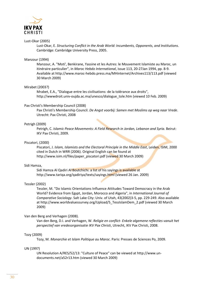

## Lust-Okar (2005)

Lust-Okar, E. Structuring Conflict in the Arab World: Incumbents, Opponents, and Institutions. Cambridge: Cambridge University Press, 2005.

#### Manzour (1994)

Manzour, A. "Moti', Benkirane, Yassine et les Autres: le Mouvement Islamiste au Maroc, un itinéraire particulier", in Maroc Hebdo International, issue 113, 20-27Jan 1994, pp. 8-9. Available at http://www.maroc-hebdo.press.ma/MHinternet/Archives113/113.pdf (viewed 30 March 2009)

#### Mirabet (2003?)

Mrabet, E.A., "Dialogue entre les civilisations: de la tolérance aux droits", http://wwwdroit.univ-oujda.ac.ma/unesco/dialogue\_tole.htm (viewed 10 Feb. 2009)

## Pax Christi's Membership Council (2008)

Pax Christi's Membership Council. De Angst voorbij: Samen met Moslims op weg naar Vrede. Utrecht: Pax Christi, 2008

## Petrigh (2009)

Petrigh, C. Islamic Peace Movements: A Field Research in Jordan, Lebanon and Syria. Beirut: IKV Pax Christi, 2009.

#### Piscatori, (2000)

Piscatori, J. Islam, Islamists and the Electoral Principle in the Middle East, Leiden, ISIM, 2000 cited in Dutch in WRR (2006). Original English can be found at http://www.isim.nl/files/paper\_piscatori.pdf (viewed 30 March 2009)

#### Sidi Hamza,

Sidi Hamza Al Qadiri Al Boutchichi. a list of his sayings is available at http://www.tariqa.org/qadiriya/texts/sayings.html (viewed 26 Jan. 2009)

#### Tessler (2002)

Tessler, M. "Do Islamic Orientations Influence Attitudes Toward Democracy in the Arab World? Evidence from Egypt, Jordan, Morocco and Algeria", in International Journal of Comparative Sociology. Salt Lake City: Univ. of Utah, 43(2002)3-5, pp. 229-249. Also available at http://www.worldvaluessurvey.org/Upload/5\_TessIslamDem\_2.pdf (viewed 30 March 2009)

#### Van den Berg and Verhagen (2008).

Van den Berg, D.I. and Verhagen, W. Religie en conflict- Enkele algemene reflecties vanuit het perspectief van vredesorganisatie IKV Pax Christi, Utrecht, IKV Pax Christi, 2008.

#### Tozy (2009)

Tozy, M. Monarchie et Islam Politique au Maroc. Paris: Presses de Sciences Po, 2009.

#### UN (1997)

UN Resolution A/RES/52/13: "Culture of Peace" can be viewed at http://www.undocuments.net/a52r13.htm (viewed 30 March 2009)